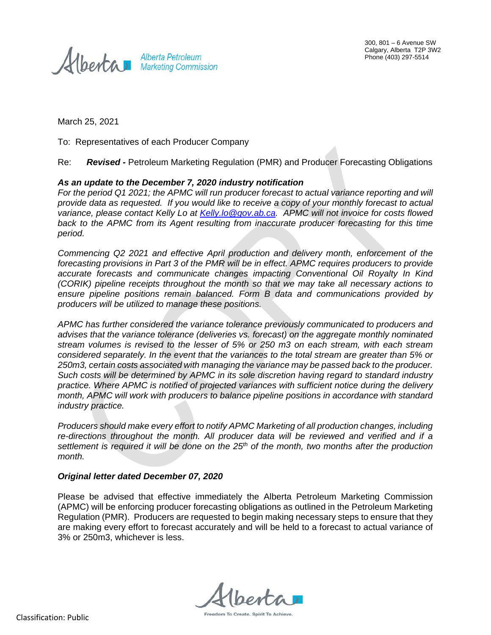Alberta Petroleum

300, 801 – 6 Avenue SW Calgary, Alberta T2P 3W2 Phone (403) 297-5514

March 25, 2021

To: Representatives of each Producer Company

Re: *Revised -* Petroleum Marketing Regulation (PMR) and Producer Forecasting Obligations

## *As an update to the December 7, 2020 industry notification*

*For the period Q1 2021; the APMC will run producer forecast to actual variance reporting and will provide data as requested. If you would like to receive a copy of your monthly forecast to actual variance, please contact Kelly Lo at [Kelly.lo@gov.ab.ca.](mailto:Kelly.lo@gov.ab.ca) APMC will not invoice for costs flowed back to the APMC from its Agent resulting from inaccurate producer forecasting for this time period.* 

*Commencing Q2 2021 and effective April production and delivery month, enforcement of the forecasting provisions in Part 3 of the PMR will be in effect. APMC requires producers to provide accurate forecasts and communicate changes impacting Conventional Oil Royalty In Kind (CORIK) pipeline receipts throughout the month so that we may take all necessary actions to ensure pipeline positions remain balanced. Form B data and communications provided by producers will be utilized to manage these positions.*

*APMC has further considered the variance tolerance previously communicated to producers and advises that the variance tolerance (deliveries vs. forecast) on the aggregate monthly nominated stream volumes is revised to the lesser of 5% or 250 m3 on each stream, with each stream considered separately. In the event that the variances to the total stream are greater than 5% or 250m3, certain costs associated with managing the variance may be passed back to the producer. Such costs will be determined by APMC in its sole discretion having regard to standard industry practice. Where APMC is notified of projected variances with sufficient notice during the delivery month, APMC will work with producers to balance pipeline positions in accordance with standard industry practice.*

*Producers should make every effort to notify APMC Marketing of all production changes, including re-directions throughout the month. All producer data will be reviewed and verified and if a settlement is required it will be done on the 25th of the month, two months after the production month.* 

## *Original letter dated December 07, 2020*

Please be advised that effective immediately the Alberta Petroleum Marketing Commission (APMC) will be enforcing producer forecasting obligations as outlined in the Petroleum Marketing Regulation (PMR). Producers are requested to begin making necessary steps to ensure that they are making every effort to forecast accurately and will be held to a forecast to actual variance of 3% or 250m3, whichever is less.

Freedom To Create, Spirit To Achieve